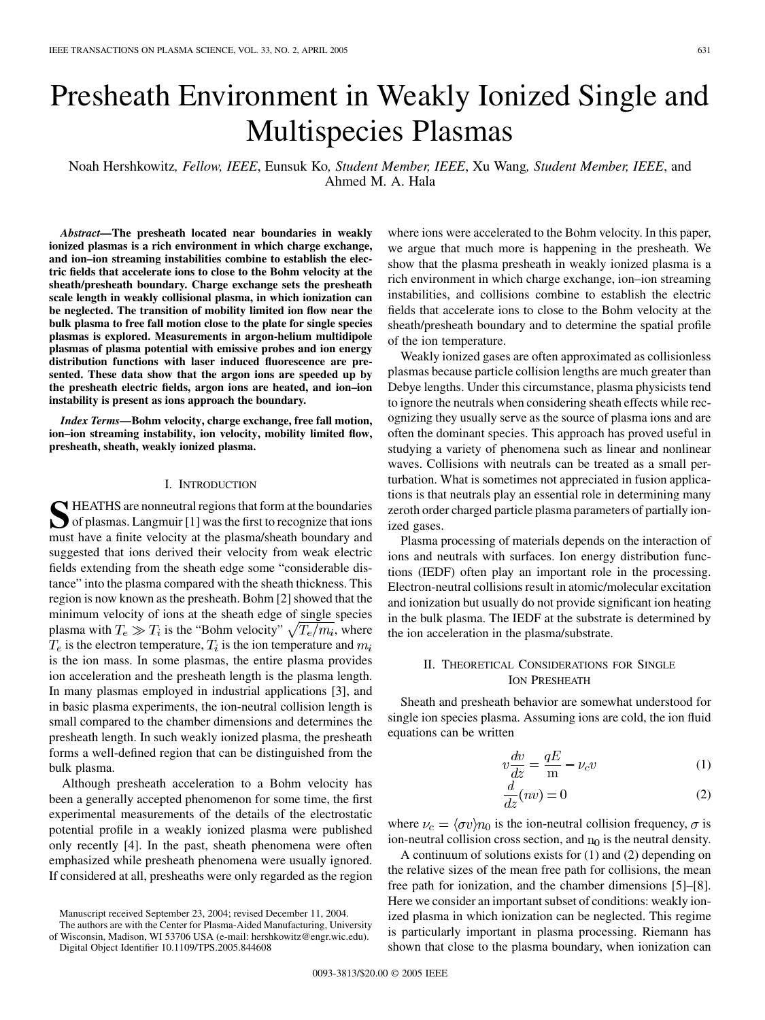# Presheath Environment in Weakly Ionized Single and Multispecies Plasmas

Noah Hershkowitz*, Fellow, IEEE*, Eunsuk Ko*, Student Member, IEEE*, Xu Wang*, Student Member, IEEE*, and Ahmed M. A. Hala

*Abstract—***The presheath located near boundaries in weakly ionized plasmas is a rich environment in which charge exchange, and ion–ion streaming instabilities combine to establish the electric fields that accelerate ions to close to the Bohm velocity at the sheath/presheath boundary. Charge exchange sets the presheath scale length in weakly collisional plasma, in which ionization can be neglected. The transition of mobility limited ion flow near the bulk plasma to free fall motion close to the plate for single species plasmas is explored. Measurements in argon-helium multidipole plasmas of plasma potential with emissive probes and ion energy distribution functions with laser induced fluorescence are presented. These data show that the argon ions are speeded up by the presheath electric fields, argon ions are heated, and ion–ion instability is present as ions approach the boundary.**

*Index Terms—***Bohm velocity, charge exchange, free fall motion, ion–ion streaming instability, ion velocity, mobility limited flow, presheath, sheath, weakly ionized plasma.**

#### I. INTRODUCTION

S<br>
Sof plasmas. Langmuir [\[1\]](#page-4-0) was the first to recognize that ions<br>
must have a finite valentia at the plasma(sheeth have down and must have a finite velocity at the plasma/sheath boundary and suggested that ions derived their velocity from weak electric fields extending from the sheath edge some "considerable distance" into the plasma compared with the sheath thickness. This region is now known as the presheath. Bohm [[2\]](#page-4-0) showed that the minimum velocity of ions at the sheath edge of single species plasma with  $T_e \gg T_i$  is the "Bohm velocity"  $\sqrt{T_e/m_i}$ , where  $T_e$  is the electron temperature,  $T_i$  is the ion temperature and  $m_i$ is the ion mass. In some plasmas, the entire plasma provides ion acceleration and the presheath length is the plasma length. In many plasmas employed in industrial applications [[3\]](#page-4-0), and in basic plasma experiments, the ion-neutral collision length is small compared to the chamber dimensions and determines the presheath length. In such weakly ionized plasma, the presheath forms a well-defined region that can be distinguished from the bulk plasma.

Although presheath acceleration to a Bohm velocity has been a generally accepted phenomenon for some time, the first experimental measurements of the details of the electrostatic potential profile in a weakly ionized plasma were published only recently [\[4](#page-4-0)]. In the past, sheath phenomena were often emphasized while presheath phenomena were usually ignored. If considered at all, presheaths were only regarded as the region

The authors are with the Center for Plasma-Aided Manufacturing, University of Wisconsin, Madison, WI 53706 USA (e-mail: hershkowitz@engr.wic.edu).

Digital Object Identifier 10.1109/TPS.2005.844608

where ions were accelerated to the Bohm velocity. In this paper, we argue that much more is happening in the presheath. We show that the plasma presheath in weakly ionized plasma is a rich environment in which charge exchange, ion–ion streaming instabilities, and collisions combine to establish the electric fields that accelerate ions to close to the Bohm velocity at the sheath/presheath boundary and to determine the spatial profile of the ion temperature.

Weakly ionized gases are often approximated as collisionless plasmas because particle collision lengths are much greater than Debye lengths. Under this circumstance, plasma physicists tend to ignore the neutrals when considering sheath effects while recognizing they usually serve as the source of plasma ions and are often the dominant species. This approach has proved useful in studying a variety of phenomena such as linear and nonlinear waves. Collisions with neutrals can be treated as a small perturbation. What is sometimes not appreciated in fusion applications is that neutrals play an essential role in determining many zeroth order charged particle plasma parameters of partially ionized gases.

Plasma processing of materials depends on the interaction of ions and neutrals with surfaces. Ion energy distribution functions (IEDF) often play an important role in the processing. Electron-neutral collisions result in atomic/molecular excitation and ionization but usually do not provide significant ion heating in the bulk plasma. The IEDF at the substrate is determined by the ion acceleration in the plasma/substrate.

# II. THEORETICAL CONSIDERATIONS FOR SINGLE ION PRESHEATH

Sheath and presheath behavior are somewhat understood for single ion species plasma. Assuming ions are cold, the ion fluid equations can be written

$$
v\frac{dv}{dz} = \frac{qE}{m} - \nu_c v \tag{1}
$$

$$
\frac{d}{dz}(nv) = 0\tag{2}
$$

where  $\nu_c = \langle \sigma v \rangle n_0$  is the ion-neutral collision frequency,  $\sigma$  is ion-neutral collision cross section, and  $n_0$  is the neutral density.

A continuum of solutions exists for (1) and (2) depending on the relative sizes of the mean free path for collisions, the mean free path for ionization, and the chamber dimensions [[5\]](#page-4-0)–[\[8](#page-4-0)]. Here we consider an important subset of conditions: weakly ionized plasma in which ionization can be neglected. This regime is particularly important in plasma processing. Riemann has shown that close to the plasma boundary, when ionization can

Manuscript received September 23, 2004; revised December 11, 2004.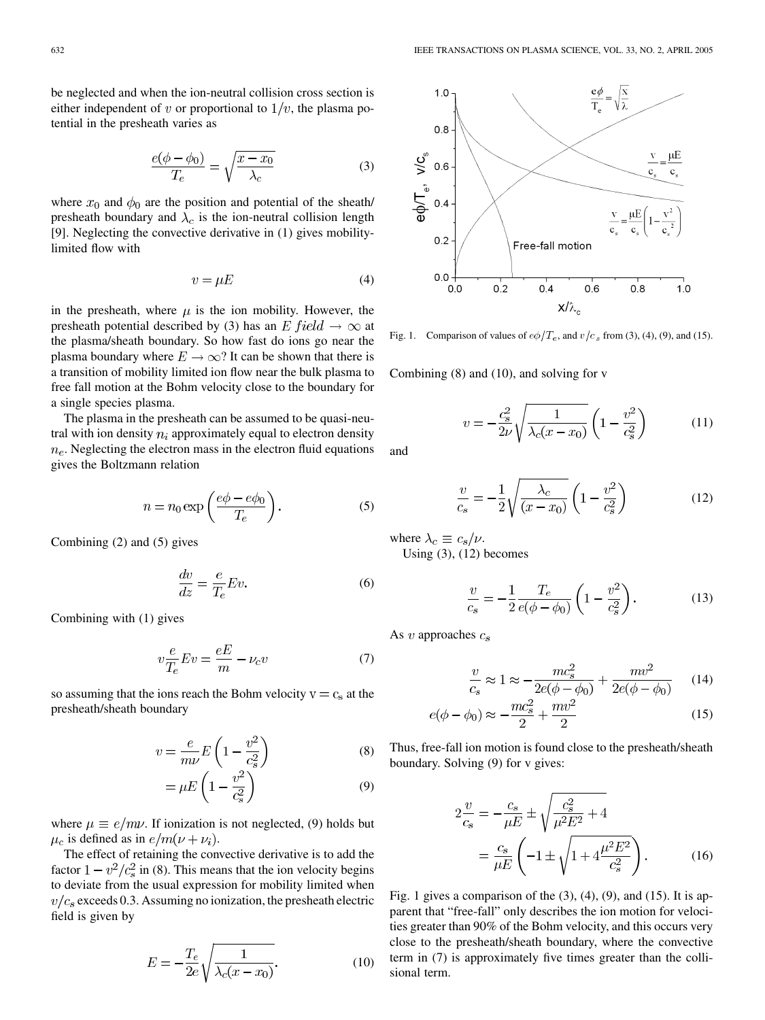be neglected and when the ion-neutral collision cross section is either independent of v or proportional to  $1/v$ , the plasma potential in the presheath varies as

$$
\frac{e(\phi - \phi_0)}{T_e} = \sqrt{\frac{x - x_0}{\lambda_c}}
$$
(3)

where  $x_0$  and  $\phi_0$  are the position and potential of the sheath/ presheath boundary and  $\lambda_c$  is the ion-neutral collision length [[9\]](#page-4-0). Neglecting the convective derivative in (1) gives mobilitylimited flow with

$$
v = \mu E \tag{4}
$$

in the presheath, where  $\mu$  is the ion mobility. However, the presheath potential described by (3) has an E field  $\rightarrow \infty$  at the plasma/sheath boundary. So how fast do ions go near the plasma boundary where  $E \to \infty$ ? It can be shown that there is a transition of mobility limited ion flow near the bulk plasma to free fall motion at the Bohm velocity close to the boundary for a single species plasma.

The plasma in the presheath can be assumed to be quasi-neutral with ion density  $n_i$  approximately equal to electron density  $n_e$ . Neglecting the electron mass in the electron fluid equations gives the Boltzmann relation

$$
n = n_0 \exp\left(\frac{e\phi - e\phi_0}{T_e}\right). \tag{5}
$$

Combining (2) and (5) gives

$$
\frac{dv}{dz} = \frac{e}{T_e}Ev.
$$
 (6)

Combining with (1) gives

$$
v\frac{e}{T_e}Ev = \frac{eE}{m} - \nu_c v \tag{7}
$$

so assuming that the ions reach the Bohm velocity  $v = c_s$  at the presheath/sheath boundary

$$
v = \frac{e}{m\nu} E\left(1 - \frac{v^2}{c_s^2}\right) \tag{8}
$$

$$
= \mu E \left( 1 - \frac{v^2}{c_s^2} \right) \tag{9}
$$

where  $\mu \equiv e/m\nu$ . If ionization is not neglected, (9) holds but  $\mu_c$  is defined as in  $e/m(\nu + \nu_i)$ .

The effect of retaining the convective derivative is to add the factor  $1 - v^2/c_s^2$  in (8). This means that the ion velocity begins to deviate from the usual expression for mobility limited when  $v/c<sub>s</sub>$  exceeds 0.3. Assuming no ionization, the presheath electric field is given by

$$
E = -\frac{T_e}{2e} \sqrt{\frac{1}{\lambda_c (x - x_0)}}.\tag{10}
$$



Fig. 1. Comparison of values of  $e\phi/T_e$ , and  $v/c_s$  from (3), (4), (9), and (15).

Combining (8) and (10), and solving for v

$$
v = -\frac{c_s^2}{2\nu} \sqrt{\frac{1}{\lambda_c (x - x_0)}} \left( 1 - \frac{v^2}{c_s^2} \right)
$$
 (11)

and

$$
\frac{v}{c_s} = -\frac{1}{2} \sqrt{\frac{\lambda_c}{(x - x_0)}} \left( 1 - \frac{v^2}{c_s^2} \right)
$$
(12)

where  $\lambda_c \equiv c_s/\nu$ . Using  $(3)$ ,  $(12)$  becomes

$$
\frac{v}{c_s} = -\frac{1}{2} \frac{T_e}{e(\phi - \phi_0)} \left( 1 - \frac{v^2}{c_s^2} \right).
$$
 (13)

As  $v$  approaches  $c_s$ 

$$
\frac{v}{c_s} \approx 1 \approx -\frac{mc_s^2}{2e(\phi - \phi_0)} + \frac{mv^2}{2e(\phi - \phi_0)}\tag{14}
$$

$$
e(\phi - \phi_0) \approx -\frac{mc_s^2}{2} + \frac{mv^2}{2}
$$
 (15)

Thus, free-fall ion motion is found close to the presheath/sheath boundary. Solving (9) for v gives:

$$
2\frac{v}{c_s} = -\frac{c_s}{\mu E} \pm \sqrt{\frac{c_s^2}{\mu^2 E^2} + 4}
$$
  
=  $\frac{c_s}{\mu E} \left( -1 \pm \sqrt{1 + 4\frac{\mu^2 E^2}{c_s^2}} \right).$  (16)

Fig. 1 gives a comparison of the  $(3)$ ,  $(4)$ ,  $(9)$ , and  $(15)$ . It is apparent that "free-fall" only describes the ion motion for velocities greater than 90% of the Bohm velocity, and this occurs very close to the presheath/sheath boundary, where the convective term in (7) is approximately five times greater than the collisional term.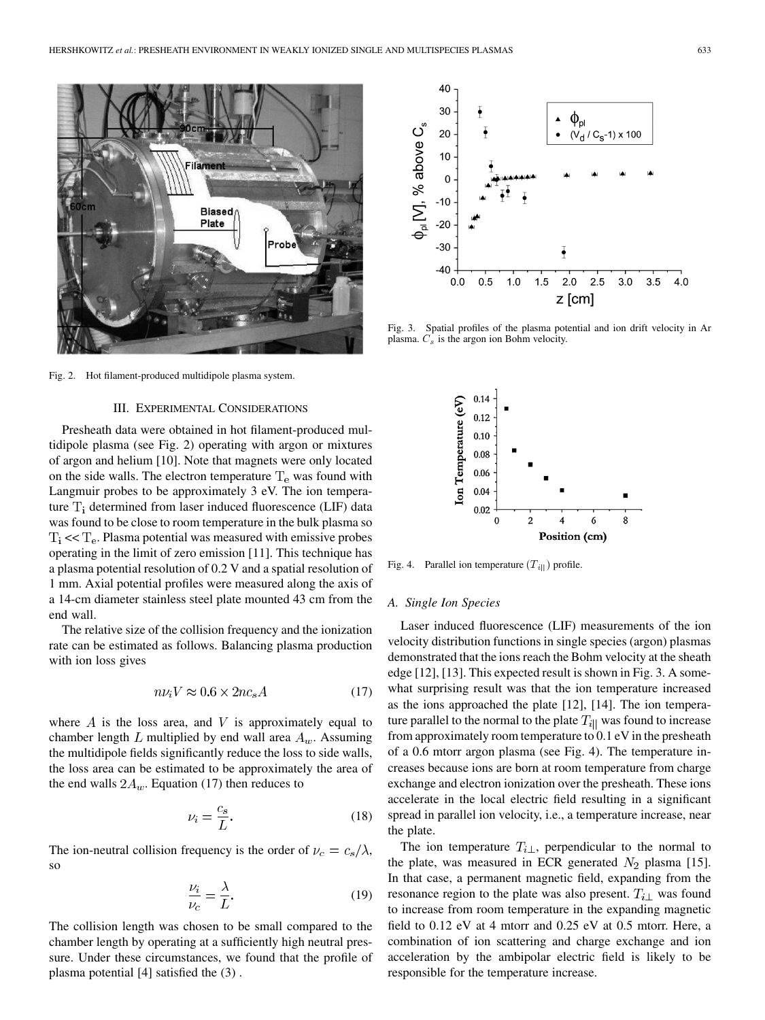

Fig. 2. Hot filament-produced multidipole plasma system.

## III. EXPERIMENTAL CONSIDERATIONS

Presheath data were obtained in hot filament-produced multidipole plasma (see Fig. 2) operating with argon or mixtures of argon and helium [[10\]](#page-4-0). Note that magnets were only located on the side walls. The electron temperature  $T_e$  was found with Langmuir probes to be approximately 3 eV. The ion temperature  $T_i$  determined from laser induced fluorescence (LIF) data was found to be close to room temperature in the bulk plasma so  $T_i \ll T_e$ . Plasma potential was measured with emissive probes operating in the limit of zero emission [\[11](#page-4-0)]. This technique has a plasma potential resolution of 0.2 V and a spatial resolution of 1 mm. Axial potential profiles were measured along the axis of a 14-cm diameter stainless steel plate mounted 43 cm from the end wall.

The relative size of the collision frequency and the ionization rate can be estimated as follows. Balancing plasma production with ion loss gives

$$
n\nu_i V \approx 0.6 \times 2n c_s A \tag{17}
$$

where  $A$  is the loss area, and  $V$  is approximately equal to chamber length L multiplied by end wall area  $A_w$ . Assuming the multidipole fields significantly reduce the loss to side walls, the loss area can be estimated to be approximately the area of the end walls  $2A_w$ . Equation (17) then reduces to

$$
\nu_i = \frac{c_s}{L}.\tag{18}
$$

The ion-neutral collision frequency is the order of  $\nu_c = c_s/\lambda$ , so

$$
\frac{\nu_i}{\nu_c} = \frac{\lambda}{L}.\tag{19}
$$

The collision length was chosen to be small compared to the chamber length by operating at a sufficiently high neutral pressure. Under these circumstances, we found that the profile of plasma potential [[4\]](#page-4-0) satisfied the (3) .



Fig. 3. Spatial profiles of the plasma potential and ion drift velocity in Ar plasma.  $C_s$  is the argon ion Bohm velocity.



Fig. 4. Parallel ion temperature  $(T_{i||})$  profile.

## *A. Single Ion Species*

Laser induced fluorescence (LIF) measurements of the ion velocity distribution functions in single species (argon) plasmas demonstrated that the ions reach the Bohm velocity at the sheath edge [\[12](#page-4-0)], [\[13](#page-4-0)]. This expected result is shown in Fig. 3. A somewhat surprising result was that the ion temperature increased as the ions approached the plate [[12\]](#page-4-0), [\[14](#page-4-0)]. The ion temperature parallel to the normal to the plate  $T_{i||}$  was found to increase from approximately room temperature to 0.1 eV in the presheath of a 0.6 mtorr argon plasma (see Fig. 4). The temperature increases because ions are born at room temperature from charge exchange and electron ionization over the presheath. These ions accelerate in the local electric field resulting in a significant spread in parallel ion velocity, i.e., a temperature increase, near the plate.

The ion temperature  $T_{i\perp}$ , perpendicular to the normal to the plate, was measured in ECR generated  $N_2$  plasma [\[15](#page-4-0)]. In that case, a permanent magnetic field, expanding from the resonance region to the plate was also present.  $T_{i\perp}$  was found to increase from room temperature in the expanding magnetic field to 0.12 eV at 4 mtorr and 0.25 eV at 0.5 mtorr. Here, a combination of ion scattering and charge exchange and ion acceleration by the ambipolar electric field is likely to be responsible for the temperature increase.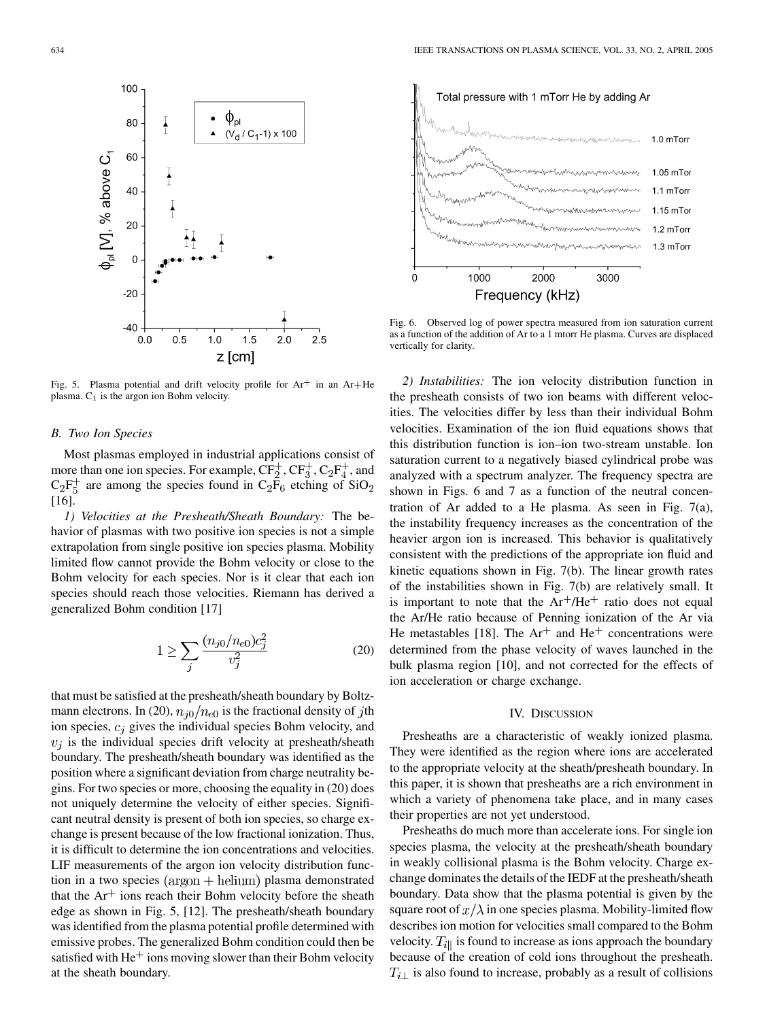

Fig. 5. Plasma potential and drift velocity profile for  $Ar^+$  in an  $Ar+He$ plasma.  $C_1$  is the argon ion Bohm velocity.

## *B. Two Ion Species*

Most plasmas employed in industrial applications consist of more than one ion species. For example,  $CF_2^+$ ,  $CF_3^+$ ,  $C_2F_4^+$ , and  $C_2F_5^+$  are among the species found in  $C_2F_6$  etching of SiO<sub>2</sub> [[16\]](#page-4-0).

*1) Velocities at the Presheath/Sheath Boundary:* The behavior of plasmas with two positive ion species is not a simple extrapolation from single positive ion species plasma. Mobility limited flow cannot provide the Bohm velocity or close to the Bohm velocity for each species. Nor is it clear that each ion species should reach those velocities. Riemann has derived a generalized Bohm condition [\[17](#page-4-0)]

$$
1 \ge \sum_{j} \frac{(n_{j0}/n_{e0})c_j^2}{v_j^2} \tag{20}
$$

that must be satisfied at the presheath/sheath boundary by Boltzmann electrons. In (20),  $n_{i0}/n_{e0}$  is the fractional density of jth ion species,  $c_i$  gives the individual species Bohm velocity, and  $v_i$  is the individual species drift velocity at presheath/sheath boundary. The presheath/sheath boundary was identified as the position where a significant deviation from charge neutrality begins. For two species or more, choosing the equality in (20) does not uniquely determine the velocity of either species. Significant neutral density is present of both ion species, so charge exchange is present because of the low fractional ionization. Thus, it is difficult to determine the ion concentrations and velocities. LIF measurements of the argon ion velocity distribution function in a two species ( $argon + helium$ ) plasma demonstrated that the  $Ar^+$  ions reach their Bohm velocity before the sheath edge as shown in Fig. 5, [[12\]](#page-4-0). The presheath/sheath boundary was identified from the plasma potential profile determined with emissive probes. The generalized Bohm condition could then be satisfied with  $He<sup>+</sup>$  ions moving slower than their Bohm velocity at the sheath boundary.



Fig. 6. Observed log of power spectra measured from ion saturation current as a function of the addition of Ar to a 1 mtorr He plasma. Curves are displaced vertically for clarity.

*2) Instabilities:* The ion velocity distribution function in the presheath consists of two ion beams with different velocities. The velocities differ by less than their individual Bohm velocities. Examination of the ion fluid equations shows that this distribution function is ion–ion two-stream unstable. Ion saturation current to a negatively biased cylindrical probe was analyzed with a spectrum analyzer. The frequency spectra are shown in Figs. 6 and 7 as a function of the neutral concentration of Ar added to a He plasma. As seen in Fig.  $7(a)$ , the instability frequency increases as the concentration of the heavier argon ion is increased. This behavior is qualitatively consistent with the predictions of the appropriate ion fluid and kinetic equations shown in Fig. 7(b). The linear growth rates of the instabilities shown in Fig. 7(b) are relatively small. It is important to note that the  $Ar^+/He^+$  ratio does not equal the Ar/He ratio because of Penning ionization of the Ar via He metastables [[18\]](#page-4-0). The  $Ar^+$  and He<sup>+</sup> concentrations were determined from the phase velocity of waves launched in the bulk plasma region [[10](#page-4-0)], and not corrected for the effects of ion acceleration or charge exchange.

## IV. DISCUSSION

Presheaths are a characteristic of weakly ionized plasma. They were identified as the region where ions are accelerated to the appropriate velocity at the sheath/presheath boundary. In this paper, it is shown that presheaths are a rich environment in which a variety of phenomena take place, and in many cases their properties are not yet understood.

Presheaths do much more than accelerate ions. For single ion species plasma, the velocity at the presheath/sheath boundary in weakly collisional plasma is the Bohm velocity. Charge exchange dominates the details of the IEDF at the presheath/sheath boundary. Data show that the plasma potential is given by the square root of  $x/\lambda$  in one species plasma. Mobility-limited flow describes ion motion for velocities small compared to the Bohm velocity.  $T_{i\parallel}$  is found to increase as ions approach the boundary because of the creation of cold ions throughout the presheath.  $T_{i\perp}$  is also found to increase, probably as a result of collisions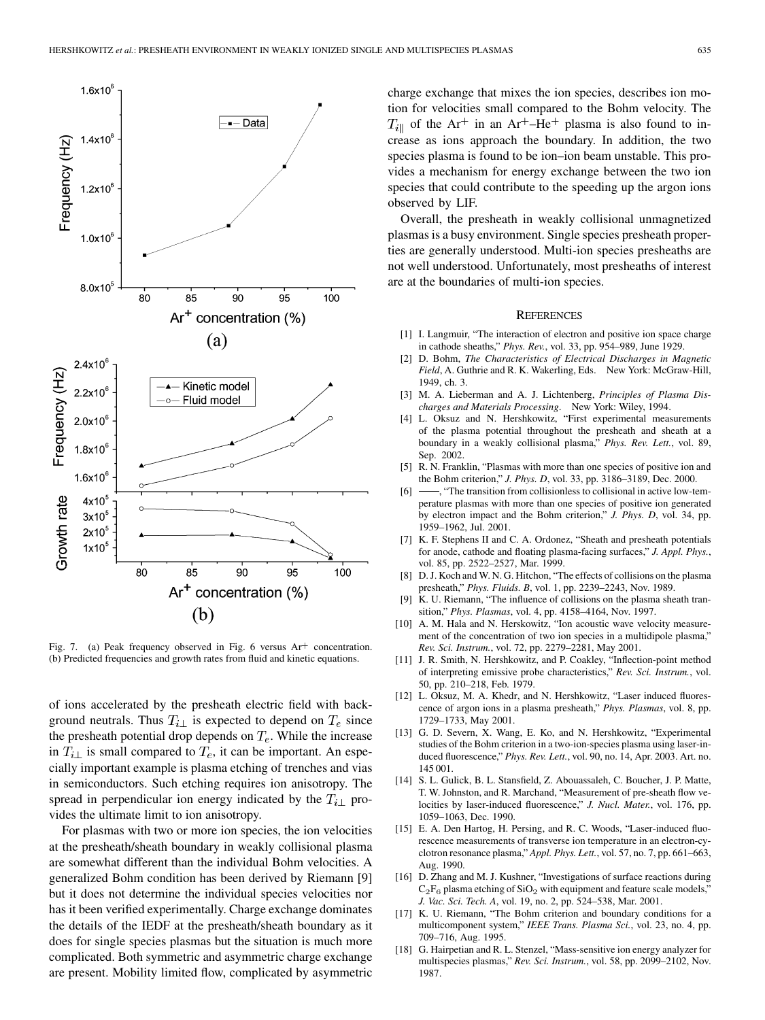<span id="page-4-0"></span>

Fig. 7. (a) Peak frequency observed in Fig. 6 versus  $Ar<sup>+</sup>$  concentration. (b) Predicted frequencies and growth rates from fluid and kinetic equations.

of ions accelerated by the presheath electric field with background neutrals. Thus  $T_{i\perp}$  is expected to depend on  $T_e$  since the presheath potential drop depends on  $T_e$ . While the increase in  $T_{i\perp}$  is small compared to  $T_e$ , it can be important. An especially important example is plasma etching of trenches and vias in semiconductors. Such etching requires ion anisotropy. The spread in perpendicular ion energy indicated by the  $T_{i\perp}$  provides the ultimate limit to ion anisotropy.

For plasmas with two or more ion species, the ion velocities at the presheath/sheath boundary in weakly collisional plasma are somewhat different than the individual Bohm velocities. A generalized Bohm condition has been derived by Riemann [9] but it does not determine the individual species velocities nor has it been verified experimentally. Charge exchange dominates the details of the IEDF at the presheath/sheath boundary as it does for single species plasmas but the situation is much more complicated. Both symmetric and asymmetric charge exchange are present. Mobility limited flow, complicated by asymmetric

charge exchange that mixes the ion species, describes ion motion for velocities small compared to the Bohm velocity. The  $T_{\text{all}}$  of the Ar<sup>+</sup> in an Ar<sup>+</sup>-He<sup>+</sup> plasma is also found to increase as ions approach the boundary. In addition, the two species plasma is found to be ion–ion beam unstable. This provides a mechanism for energy exchange between the two ion species that could contribute to the speeding up the argon ions observed by LIF.

Overall, the presheath in weakly collisional unmagnetized plasmas is a busy environment. Single species presheath properties are generally understood. Multi-ion species presheaths are not well understood. Unfortunately, most presheaths of interest are at the boundaries of multi-ion species.

#### **REFERENCES**

- [1] I. Langmuir, "The interaction of electron and positive ion space charge in cathode sheaths," *Phys. Rev.*, vol. 33, pp. 954–989, June 1929.
- [2] D. Bohm, *The Characteristics of Electrical Discharges in Magnetic Field*, A. Guthrie and R. K. Wakerling, Eds. New York: McGraw-Hill, 1949, ch. 3.
- [3] M. A. Lieberman and A. J. Lichtenberg, *Principles of Plasma Discharges and Materials Processing*. New York: Wiley, 1994.
- [4] L. Oksuz and N. Hershkowitz, "First experimental measurements of the plasma potential throughout the presheath and sheath at a boundary in a weakly collisional plasma," *Phys. Rev. Lett.*, vol. 89, Sep. 2002.
- [5] R. N. Franklin, "Plasmas with more than one species of positive ion and the Bohm criterion," *J. Phys. D*, vol. 33, pp. 3186–3189, Dec. 2000.
- [6]  $\rightarrow$  "The transition from collisionless to collisional in active low-temperature plasmas with more than one species of positive ion generated by electron impact and the Bohm criterion," *J. Phys. D*, vol. 34, pp. 1959–1962, Jul. 2001.
- [7] K. F. Stephens II and C. A. Ordonez, "Sheath and presheath potentials for anode, cathode and floating plasma-facing surfaces," *J. Appl. Phys.*, vol. 85, pp. 2522–2527, Mar. 1999.
- [8] D. J. Koch and W. N. G. Hitchon, "The effects of collisions on the plasma presheath," *Phys. Fluids. B*, vol. 1, pp. 2239–2243, Nov. 1989.
- [9] K. U. Riemann, "The influence of collisions on the plasma sheath transition," *Phys. Plasmas*, vol. 4, pp. 4158–4164, Nov. 1997.
- [10] A. M. Hala and N. Herskowitz, "Ion acoustic wave velocity measurement of the concentration of two ion species in a multidipole plasma," *Rev. Sci. Instrum.*, vol. 72, pp. 2279–2281, May 2001.
- [11] J. R. Smith, N. Hershkowitz, and P. Coakley, "Inflection-point method of interpreting emissive probe characteristics," *Rev. Sci. Instrum.*, vol. 50, pp. 210–218, Feb. 1979.
- [12] L. Oksuz, M. A. Khedr, and N. Hershkowitz, "Laser induced fluorescence of argon ions in a plasma presheath," *Phys. Plasmas*, vol. 8, pp. 1729–1733, May 2001.
- [13] G. D. Severn, X. Wang, E. Ko, and N. Hershkowitz, "Experimental studies of the Bohm criterion in a two-ion-species plasma using laser-induced fluorescence," *Phys. Rev. Lett.*, vol. 90, no. 14, Apr. 2003. Art. no. 145 001.
- [14] S. L. Gulick, B. L. Stansfield, Z. Abouassaleh, C. Boucher, J. P. Matte, T. W. Johnston, and R. Marchand, "Measurement of pre-sheath flow velocities by laser-induced fluorescence," *J. Nucl. Mater.*, vol. 176, pp. 1059–1063, Dec. 1990.
- [15] E. A. Den Hartog, H. Persing, and R. C. Woods, "Laser-induced fluorescence measurements of transverse ion temperature in an electron-cyclotron resonance plasma," *Appl. Phys. Lett.*, vol. 57, no. 7, pp. 661–663, Aug. 1990.
- [16] D. Zhang and M. J. Kushner, "Investigations of surface reactions during  $C_2F_6$  plasma etching of SiO<sub>2</sub> with equipment and feature scale models," *J. Vac. Sci. Tech. A*, vol. 19, no. 2, pp. 524–538, Mar. 2001.
- [17] K. U. Riemann, "The Bohm criterion and boundary conditions for a multicomponent system," *IEEE Trans. Plasma Sci.*, vol. 23, no. 4, pp. 709–716, Aug. 1995.
- [18] G. Hairpetian and R. L. Stenzel, "Mass-sensitive ion energy analyzer for multispecies plasmas," *Rev. Sci. Instrum.*, vol. 58, pp. 2099–2102, Nov. 1987.